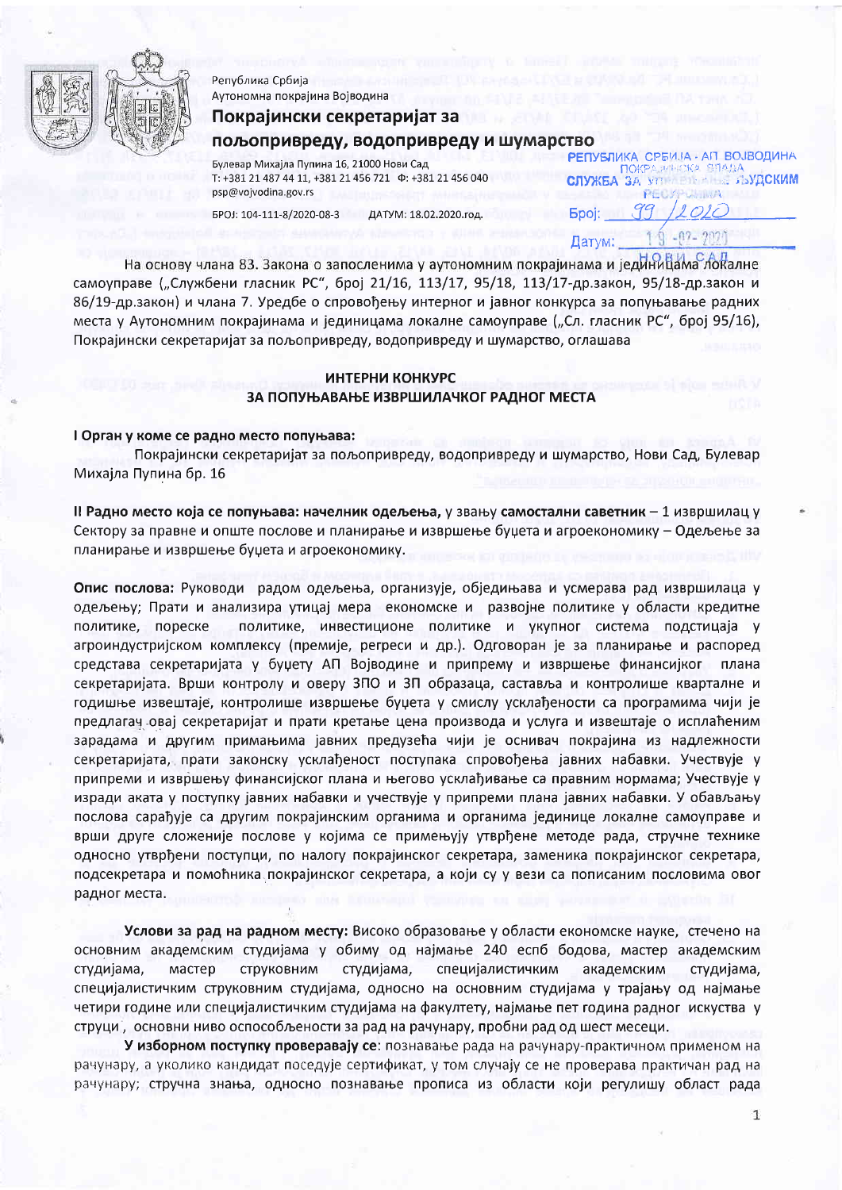

Република Србија Аутономна покрајина Војводина

# Покрајински секретаријат за пољопривреду, водопривреду и шумарство

Булевар Михајла Пупина 16, 21000 Нови Сад T: +381 21 487 44 11, +381 21 456 721  $\Phi$ : +381 21 456 040 psp@vojvodina.gov.rs

БРОЈ: 104-111-8/2020-08-3 ДАТУМ: 18.02.2020.год.

AIT BOJBOJIMHA **РЕПУБЛИКА СРБИЗА** ПОКРАЗИНОКА **СЛУЖБА ЗА УП** АМПСКИМ PFO. 99  $O1O$ **Bpoi:** Датум:

На основу члана 83. Закона о запосленима у аутономним покрајинама и јединицама локалне самоуправе ("Службени гласник РС", број 21/16, 113/17, 95/18, 113/17-др.закон, 95/18-др.закон и 86/19-др.закон) и члана 7. Уредбе о спровођењу интерног и јавног конкурса за попуњавање радних места у Аутономним покрајинама и јединицама локалне самоуправе ("Сл. гласник РС", број 95/16), Покрајински секретаријат за пољопривреду, водопривреду и шумарство, оглашава

## ИНТЕРНИ КОНКУРС ЗА ПОПУЊАВАЊЕ ИЗВРШИЛАЧКОГ РАДНОГ МЕСТА

#### I Орган у коме се радно место попуњава:

Покрајински секретаријат за пољопривреду, водопривреду и шумарство, Нови Сад, Булевар Михајла Пупина бр. 16

II Радно место која се попуњава: начелник одељења, у звању самостални саветник - 1 извршилац у Сектору за правне и опште послове и планирање и извршење буџета и агроекономику - Одељење за планирање и извршење буџета и агроекономику.

Опис послова: Руководи радом одељења, организује, обједињава и усмерава рад извршилаца у одељењу; Прати и анализира утицај мера економске и развојне политике у области кредитне политике, пореске политике, инвестиционе политике и укупног система подстицаја у агроиндустријском комплексу (премије, регреси и др.). Одговоран је за планирање и распоред средстава секретаријата у буџету АП Војводине и припрему и извршење финансијког плана секретаријата. Врши контролу и оверу ЗПО и ЗП образаца, саставља и контролише кварталне и годишње извештаје, контролише извршење буџета у смислу усклађености са програмима чији је предлагач овај секретаријат и прати кретање цена производа и услуга и извештаје о исплаћеним зарадама и другим примањима јавних предузећа чији је оснивач покрајина из надлежности секретаријата, прати законску усклађеност поступака спровођења јавних набавки. Учествује у припреми и извршењу финансијског плана и његово усклађивање са правним нормама; Учествује у изради аката у поступку јавних набавки и учествује у припреми плана јавних набавки. У обављању послова сарађује са другим покрајинским органима и органима јединице локалне самоуправе и врши друге сложеније послове у којима се примењују утврђене методе рада, стручне технике односно утврђени поступци, по налогу покрајинског секретара, заменика покрајинског секретара, подсекретара и помоћника покрајинског секретара, а који су у вези са пописаним пословима овог радног места.

Услови за рад на радном месту: Високо образовање у области економске науке, стечено на основним академским студијама у обиму од најмање 240 еспб бодова, мастер академским студијама, мастер СТРУКОВНИМ студијама, специјалистичким академским студијама, специјалистичким струковним студијама, односно на основним студијама у трајању од најмање четири године или специјалистичким студијама на факултету, најмање пет година радног искуства у струци, основни ниво оспособљености за рад на рачунару, пробни рад од шест месеци.

У изборном поступку проверавају се: познавање рада на рачунару-практичном применом на рачунару, а уколико кандидат поседује сертификат, у том случају се не проверава практичан рад на рачунару; стручна знања, односно познавање прописа из области који регулишу област рада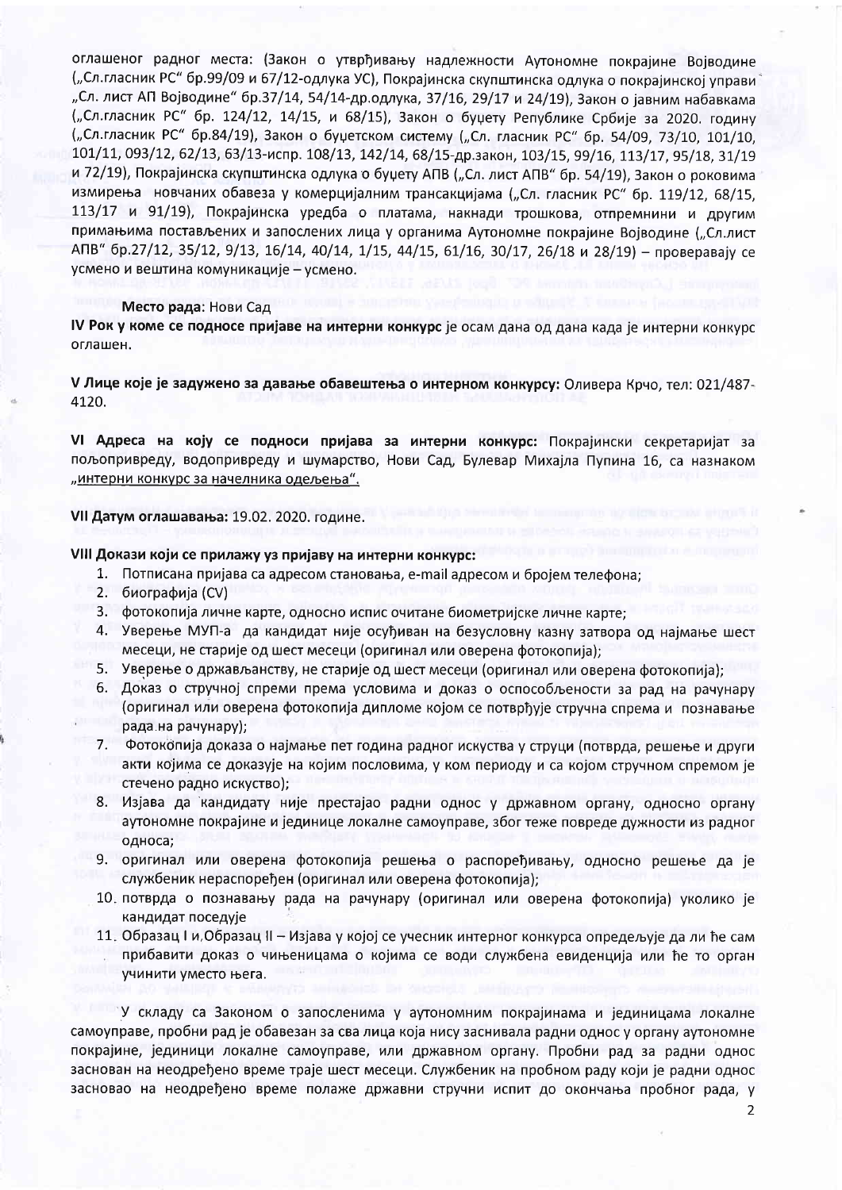оглашеног радног места: (Закон о утврђивању надлежности Аутономне покрајине Војводине ("Сл.гласник РС" бр.99/09 и 67/12-одлука УС), Покрајинска скупштинска одлука о покрајинској управи "Сл. лист АП Војводине" бр.37/14, 54/14-др.одлука, 37/16, 29/17 и 24/19), Закон о јавним набавкама ("Сл.гласник РС" бр. 124/12, 14/15, и 68/15), Закон о буцету Републике Србије за 2020. годину ("Сл.гласник РС" бр.84/19), Закон о буџетском систему ("Сл. гласник РС" бр. 54/09, 73/10, 101/10, 101/11, 093/12, 62/13, 63/13-испр. 108/13, 142/14, 68/15-др.закон, 103/15, 99/16, 113/17, 95/18, 31/19 и 72/19), Покрајинска скупштинска одлука о буџету АПВ ("Сл. лист АПВ" бр. 54/19), Закон о роковима измирења новчаних обавеза у комерцијалним трансакцијама ("Сл. гласник РС" бр. 119/12, 68/15, 113/17 и 91/19), Покрајинска уредба о платама, накнади трошкова, отпремнини и другим примањима постављених и запослених лица у органима Аутономне покрајине Војводине ("Сл.лист АПВ" бр.27/12, 35/12, 9/13, 16/14, 40/14, 1/15, 44/15, 61/16, 30/17, 26/18 и 28/19) - проверавају се усмено и вештина комуникације - усмено.

#### Место рада: Нови Сад

IV Рок у коме се подносе пријаве на интерни конкурс је осам дана од дана када је интерни конкурс оглашен.

V Лице које је задужено за давање обавештења о интерном конкурсу: Оливера Крчо, тел: 021/487-4120.

VI Адреса на коју се подноси пријава за интерни конкурс: Покрајински секретаријат за пољопривреду, водопривреду и шумарство, Нови Сад, Булевар Михајла Пупина 16, са назнаком "интерни конкурс за начелника одељења".

# VII Датум оглашавања: 19.02. 2020. године.

# VIII Докази који се прилажу уз пријаву на интерни конкурс:

- 1. Потписана пријава са адресом становања, e-mail адресом и бројем телефона;
- 2. биографија (CV)
- 3. фотокопија личне карте, односно испис очитане биометријске личне карте;
- 4. Уверење МУП-а да кандидат није осуђиван на безусловну казну затвора од најмање шест месеци, не старије од шест месеци (оригинал или оверена фотокопија);
- 5. Уверење о држављанству, не старије од шест месеци (оригинал или оверена фотокопија);
- 6. Доказ о стручној спреми према условима и доказ о оспособљености за рад на рачунару (оригинал или оверена фотокопија дипломе којом се потврђује стручна спрема и познавање рада на рачунару);
- 7. Фотокопија доказа о најмање пет година радног искуства у струци (потврда, решење и други акти којима се доказује на којим пословима, у ком периоду и са којом стручном спремом је стечено радно искуство);
- 8. Изјава да кандидату није престајао радни однос у државном органу, односно органу аутономне покрајине и јединице локалне самоуправе, због теже повреде дужности из радног односа;
- 9. оригинал или оверена фотокопија решења о распоређивању, односно решење да је службеник нераспоређен (оригинал или оверена фотокопија);
- 10. потврда о познавању рада на рачунару (оригинал или оверена фотокопија) уколико је кандидат поседује
- 11. Образац I и Образац II Изјава у којој се учесник интерног конкурса опредељује да ли ће сам прибавити доказ о чињеницама о којима се води службена евиденција или ће то орган учинити уместо њега.

У складу са Законом о запосленима у аутономним покрајинама и јединицама локалне самоуправе, пробни рад је обавезан за сва лица која нису заснивала радни однос у органу аутономне покрајине, јединици локалне самоуправе, или државном органу. Пробни рад за радни однос заснован на неодређено време траје шест месеци. Службеник на пробном раду који је радни однос засновао на неодређено време полаже државни стручни испит до окончања пробног рада, у